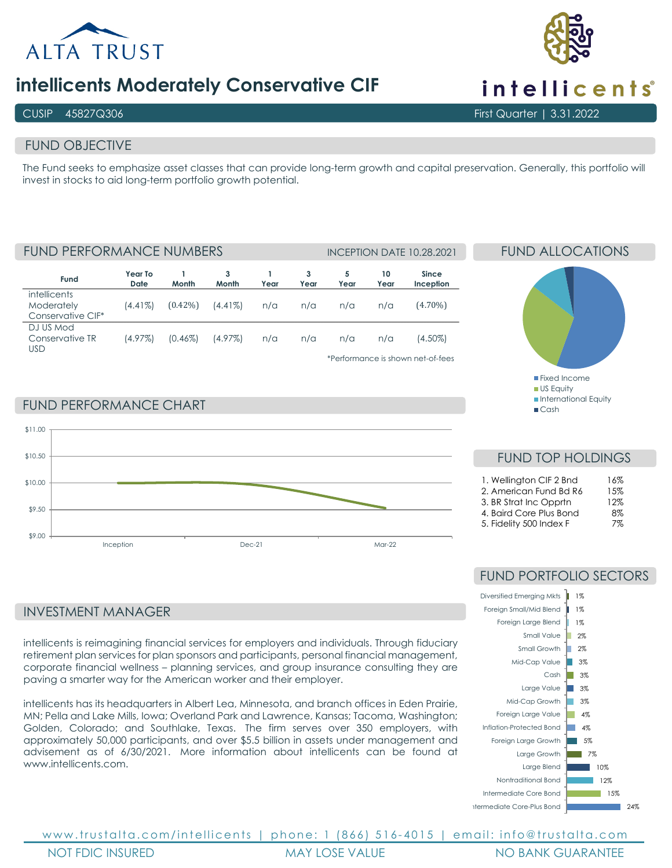

## **intellicents Moderately Conservative CIF**

### FUND OBJECTIVE

The Fund seeks to emphasize asset classes that can provide long-term growth and capital preservation. Generally, this portfolio will invest in stocks to aid long-term portfolio growth potential.

FUND PERFORMANCE NUMBERS INCEPTION DATE 10.28.2021

| Fund                                                   | Year To<br>Date | Month      | 3<br>Month | Year | 3<br>Year | 5<br>Year | 10<br>Year | Since<br>Inception                           |
|--------------------------------------------------------|-----------------|------------|------------|------|-----------|-----------|------------|----------------------------------------------|
| <i>intellicents</i><br>Moderately<br>Conservative CIF* | $(4.41\%)$      | $(0.42\%)$ | $(4.41\%)$ | n/a  | n/a       | n/a       | n/a        | $(4.70\%)$                                   |
| DJ US Mod<br>Conservative TR<br>USD                    | (4.97%)         | $(0.46\%)$ | $(4.97\%)$ | n/a  | n/a       | n/a       | n/a        | (4.50%)<br>*Porformance is shown not of foos |

\*Performance is shown net-of-fees

Fixed Income **US Equity International Equity**  $C<sub>cosh</sub>$ 

FUND ALLOCATIONS

FUND PERFORMANCE CHART



### INVESTMENT MANAGER

intellicents is reimagining financial services for employers and individuals. Through fiduciary retirement plan services for plan sponsors and participants, personal financial management, corporate financial wellness – planning services, and group insurance consulting they are paving a smarter way for the American worker and their employer.

intellicents has its headquarters in Albert Lea, Minnesota, and branch offices in Eden Prairie, MN; Pella and Lake Mills, Iowa; Overland Park and Lawrence, Kansas; Tacoma, Washington; Golden, Colorado; and Southlake, Texas. The firm serves over 350 employers, with approximately 50,000 participants, and over \$5.5 billion in assets under management and advisement as of 6/30/2021. More information about intellicents can be found at [www.intellicents.com.](https://nam02.safelinks.protection.outlook.com/?url=http%3A%2F%2Fwww.intellicents.com%2F&data=04%7C01%7Cldrost%40trustalta.com%7C64143621632c436c80a908d994bef4e3%7Cb9ee5cab444743df8ae7848331cbe44f%7C0%7C0%7C637704370132112765%7CUnknown%7CTWFpbGZsb3d8eyJWIjoiMC4wLjAwMDAiLCJQIjoiV2luMzIiLCJBTiI6Ik1haWwiLCJXVCI6Mn0%3D%7C1000&sdata=ixFoO0gafYZG6wKaNB2%2FP8VTzpX9Y%2BOH4nuegW9idSA%3D&reserved=0)

### FUND TOP HOLDINGS  $1.$  Wellington CIF 2 Rnd  $14\%$

|                         | 1 U / U |
|-------------------------|---------|
| 2. American Fund Bd R6  | 15%     |
| 3. BR Strat Inc Opprtn  | 12%     |
| 4. Baird Core Plus Bond | 8%      |
| 5. Fidelity 500 Index F | 7%      |

### FUND PORTFOLIO SECTORS





www.trustalta.com/ intellicents | phone: 1 (866) 516 - 4015 | email: info@trustalta.com NOT FDIC INSURED MAY LOSE VALUE NO BANK GUARANTEE

# intellicents<sup>®</sup>

CUSIP 45827Q306 First Quarter | 3.31.2022